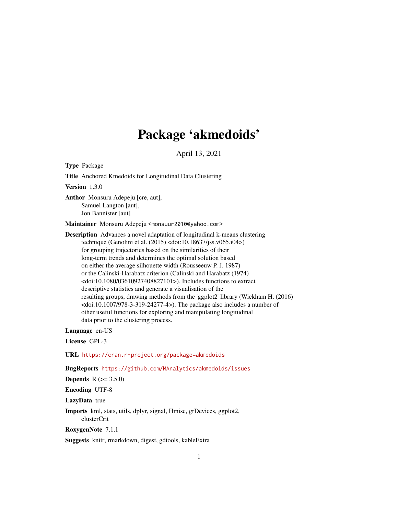# Package 'akmedoids'

April 13, 2021

Type Package

Title Anchored Kmedoids for Longitudinal Data Clustering

Version 1.3.0

Author Monsuru Adepeju [cre, aut], Samuel Langton [aut], Jon Bannister [aut]

Maintainer Monsuru Adepeju <monsuur2010@yahoo.com>

Description Advances a novel adaptation of longitudinal k-means clustering technique (Genolini et al. (2015) <doi:10.18637/jss.v065.i04>) for grouping trajectories based on the similarities of their long-term trends and determines the optimal solution based on either the average silhouette width (Rousseeuw P. J. 1987) or the Calinski-Harabatz criterion (Calinski and Harabatz (1974) <doi:10.1080/03610927408827101>). Includes functions to extract descriptive statistics and generate a visualisation of the resulting groups, drawing methods from the 'ggplot2' library (Wickham H. (2016) <doi:10.1007/978-3-319-24277-4>). The package also includes a number of other useful functions for exploring and manipulating longitudinal data prior to the clustering process.

Language en-US

License GPL-3

URL <https://cran.r-project.org/package=akmedoids>

BugReports <https://github.com/MAnalytics/akmedoids/issues>

**Depends** R  $(>= 3.5.0)$ 

Encoding UTF-8

LazyData true

Imports kml, stats, utils, dplyr, signal, Hmisc, grDevices, ggplot2, clusterCrit

RoxygenNote 7.1.1

Suggests knitr, rmarkdown, digest, gdtools, kableExtra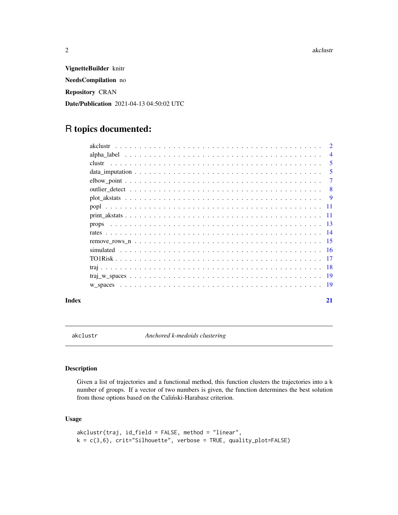<span id="page-1-0"></span>VignetteBuilder knitr NeedsCompilation no Repository CRAN Date/Publication 2021-04-13 04:50:02 UTC

# R topics documented:

| $\mathcal{D}$  |
|----------------|
| $\overline{4}$ |
| 5              |
| 5              |
| $\tau$         |
| -8             |
|                |
|                |
|                |
|                |
|                |
|                |
|                |
|                |
|                |
|                |
|                |
|                |

#### **Index** [21](#page-20-0)

<span id="page-1-1"></span>

akclustr *Anchored k-medoids clustering*

# Description

Given a list of trajectories and a functional method, this function clusters the trajectories into a k number of groups. If a vector of two numbers is given, the function determines the best solution from those options based on the Caliński-Harabasz criterion.

# Usage

```
akclustr(traj, id_field = FALSE, method = "linear",
k = c(3,6), crit="Silhouette", verbose = TRUE, quality_plot=FALSE)
```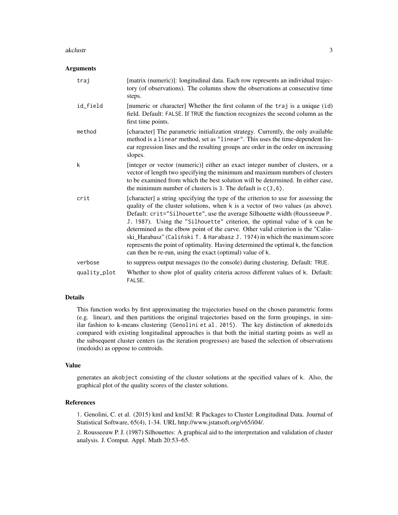#### akclustr 3

#### **Arguments**

| traj         | [matrix (numeric)]: longitudinal data. Each row represents an individual trajec-<br>tory (of observations). The columns show the observations at consecutive time<br>steps.                                                                                                                                                                                                                                                                                                                                                                                                                                                                        |
|--------------|----------------------------------------------------------------------------------------------------------------------------------------------------------------------------------------------------------------------------------------------------------------------------------------------------------------------------------------------------------------------------------------------------------------------------------------------------------------------------------------------------------------------------------------------------------------------------------------------------------------------------------------------------|
| id_field     | [numeric or character] Whether the first column of the traj is a unique (id)<br>field. Default: FALSE. If TRUE the function recognizes the second column as the<br>first time points.                                                                                                                                                                                                                                                                                                                                                                                                                                                              |
| method       | [character] The parametric initialization strategy. Currently, the only available<br>method is a linear method, set as "linear". This uses the time-dependent lin-<br>ear regression lines and the resulting groups are order in the order on increasing<br>slopes.                                                                                                                                                                                                                                                                                                                                                                                |
| k            | [integer or vector (numeric)] either an exact integer number of clusters, or a<br>vector of length two specifying the minimum and maximum numbers of clusters<br>to be examined from which the best solution will be determined. In either case,<br>the minimum number of clusters is 3. The default is $c(3,6)$ .                                                                                                                                                                                                                                                                                                                                 |
| crit         | [character] a string specifying the type of the criterion to use for assessing the<br>quality of the cluster solutions, when k is a vector of two values (as above).<br>Default: crit="Silhouette", use the average Silhouette width (Rousseeuw P.<br>J. 1987). Using the "Silhouette" criterion, the optimal value of k can be<br>determined as the elbow point of the curve. Other valid criterion is the "Calin-<br>ski_Harabasz" (Caliński T. & Harabasz J. 1974) in which the maximum score<br>represents the point of optimality. Having determined the optimal k, the function<br>can then be re-run, using the exact (optimal) value of k. |
| verbose      | to suppress output messages (to the console) during clustering. Default: TRUE.                                                                                                                                                                                                                                                                                                                                                                                                                                                                                                                                                                     |
| quality_plot | Whether to show plot of quality criteria across different values of k. Default:<br>FALSE.                                                                                                                                                                                                                                                                                                                                                                                                                                                                                                                                                          |

# Details

This function works by first approximating the trajectories based on the chosen parametric forms (e.g. linear), and then partitions the original trajectories based on the form groupings, in similar fashion to k-means clustering (Genolini et al. 2015). The key distinction of akmedoids compared with existing longitudinal approaches is that both the initial starting points as well as the subsequent cluster centers (as the iteration progresses) are based the selection of observations (medoids) as oppose to centroids.

#### Value

generates an akobject consisting of the cluster solutions at the specified values of k. Also, the graphical plot of the quality scores of the cluster solutions.

# References

1. Genolini, C. et al. (2015) kml and kml3d: R Packages to Cluster Longitudinal Data. Journal of Statistical Software, 65(4), 1-34. URL http://www.jstatsoft.org/v65/i04/.

2. Rousseeuw P. J. (1987) Silhouettes: A graphical aid to the interpretation and validation of cluster analysis. J. Comput. Appl. Math 20:53–65.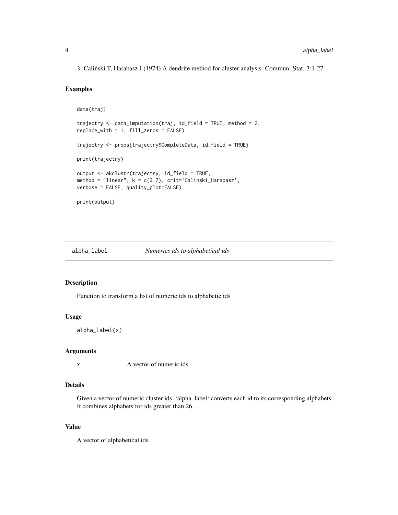<span id="page-3-0"></span>3. Calinski T, Harabasz J (1974) A dendrite method for cluster analysis. Commun. Stat. 3:1-27. ´

# Examples

```
data(traj)
trajectry <- data_imputation(traj, id_field = TRUE, method = 2,
replace_with = 1, fill_zeros = FALSE)
trajectry <- props(trajectry$CompleteData, id_field = TRUE)
print(trajectry)
output <- akclustr(trajectry, id_field = TRUE,
method = "linear", k = c(3,7), crit='Calinski_Harabasz',
verbose = FALSE, quality_plot=FALSE)
print(output)
```
alpha\_label *Numerics ids to alphabetical ids*

# Description

Function to transform a list of numeric ids to alphabetic ids

# Usage

alpha\_label(x)

#### Arguments

x A vector of numeric ids

#### Details

Given a vector of numeric cluster ids, 'alpha\_label' converts each id to its corresponding alphabets. It combines alphabets for ids greater than 26.

#### Value

A vector of alphabetical ids.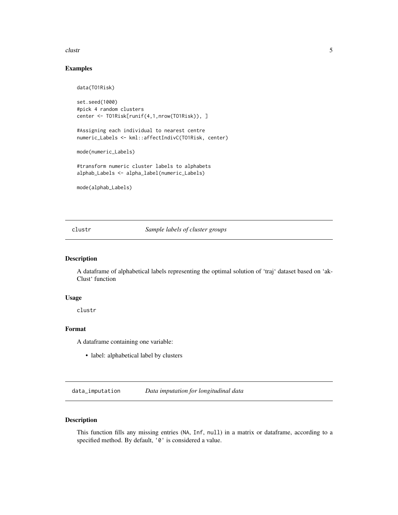#### <span id="page-4-0"></span>clustr 5

# Examples

```
data(TO1Risk)
set.seed(1000)
#pick 4 random clusters
center <- TO1Risk[runif(4,1,nrow(TO1Risk)), ]
#Assigning each individual to nearest centre
numeric_Labels <- kml::affectIndivC(TO1Risk, center)
mode(numeric_Labels)
#transform numeric cluster labels to alphabets
alphab_Labels <- alpha_label(numeric_Labels)
mode(alphab_Labels)
```
clustr *Sample labels of cluster groups*

# Description

A dataframe of alphabetical labels representing the optimal solution of 'traj' dataset based on 'ak-Clust' function

#### Usage

clustr

# Format

A dataframe containing one variable:

• label: alphabetical label by clusters

data\_imputation *Data imputation for longitudinal data*

# Description

This function fills any missing entries (NA, Inf, null) in a matrix or dataframe, according to a specified method. By default, '0' is considered a value.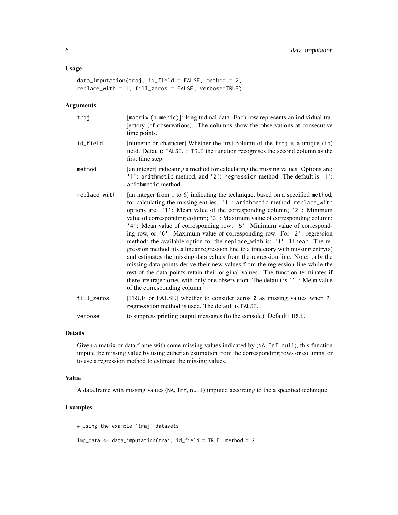#### Usage

```
data_imputation(traj, id_field = FALSE, method = 2,
replace_with = 1, fill_zeros = FALSE, verbose=TRUE)
```
# Arguments

| traj         | [matrix (numeric)]: longitudinal data. Each row represents an individual tra-<br>jectory (of observations). The columns show the observations at consecutive<br>time points.                                                                                                                                                                                                                                                                                                                                                                                                                                                                                                                                                                                                                                                                                                                                                                                                                                                |
|--------------|-----------------------------------------------------------------------------------------------------------------------------------------------------------------------------------------------------------------------------------------------------------------------------------------------------------------------------------------------------------------------------------------------------------------------------------------------------------------------------------------------------------------------------------------------------------------------------------------------------------------------------------------------------------------------------------------------------------------------------------------------------------------------------------------------------------------------------------------------------------------------------------------------------------------------------------------------------------------------------------------------------------------------------|
| id_field     | [numeric or character] Whether the first column of the traj is a unique (id)<br>field. Default: FALSE. If TRUE the function recognises the second column as the<br>first time step.                                                                                                                                                                                                                                                                                                                                                                                                                                                                                                                                                                                                                                                                                                                                                                                                                                         |
| method       | [an integer] indicating a method for calculating the missing values. Options are:<br>'1': arithmetic method, and '2': regression method. The default is '1':<br>arithmetic method                                                                                                                                                                                                                                                                                                                                                                                                                                                                                                                                                                                                                                                                                                                                                                                                                                           |
| replace_with | [an integer from 1 to 6] indicating the technique, based on a specified method,<br>for calculating the missing entries. '1': arithmetic method, replace_with<br>options are: '1': Mean value of the corresponding column; '2': Minimum<br>value of corresponding column; '3': Maximum value of corresponding column;<br>'4': Mean value of corresponding row; '5': Minimum value of correspond-<br>ing row, or '6': Maximum value of corresponding row. For '2': regression<br>method: the available option for the replace_with is: '1': linear. The re-<br>gression method fits a linear regression line to a trajectory with missing entry(s)<br>and estimates the missing data values from the regression line. Note: only the<br>missing data points derive their new values from the regression line while the<br>rest of the data points retain their original values. The function terminates if<br>there are trajectories with only one observation. The default is '1': Mean value<br>of the corresponding column |
| fill_zeros   | [TRUE or FALSE] whether to consider zeros 0 as missing values when 2:<br>regression method is used. The default is FALSE.                                                                                                                                                                                                                                                                                                                                                                                                                                                                                                                                                                                                                                                                                                                                                                                                                                                                                                   |
| verbose      | to suppress printing output messages (to the console). Default: TRUE.                                                                                                                                                                                                                                                                                                                                                                                                                                                                                                                                                                                                                                                                                                                                                                                                                                                                                                                                                       |

#### Details

Given a matrix or data.frame with some missing values indicated by (NA, Inf, null), this function impute the missing value by using either an estimation from the corresponding rows or columns, or to use a regression method to estimate the missing values.

# Value

A data.frame with missing values (NA, Inf, null) imputed according to the a specified technique.

```
# Using the example 'traj' datasets
imp_data <- data_imputation(traj, id_field = TRUE, method = 2,
```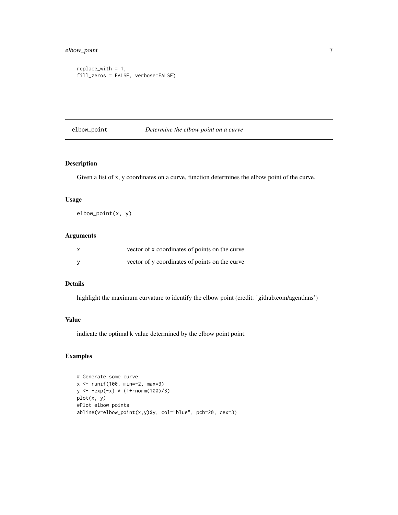# <span id="page-6-0"></span>elbow\_point 7

```
replace_with = 1,
fill_zeros = FALSE, verbose=FALSE)
```
# elbow\_point *Determine the elbow point on a curve*

#### Description

Given a list of x, y coordinates on a curve, function determines the elbow point of the curve.

#### Usage

elbow\_point(x, y)

# Arguments

| $\mathsf{x}$ | vector of x coordinates of points on the curve |
|--------------|------------------------------------------------|
| <b>V</b>     | vector of y coordinates of points on the curve |

# Details

highlight the maximum curvature to identify the elbow point (credit: 'github.com/agentlans')

# Value

indicate the optimal k value determined by the elbow point point.

```
# Generate some curve
x <- runif(100, min=-2, max=3)
y \le -exp(-x) \times (1+{rnorm(100)}/3)plot(x, y)
#Plot elbow points
abline(v=elbow_point(x,y)$y, col="blue", pch=20, cex=3)
```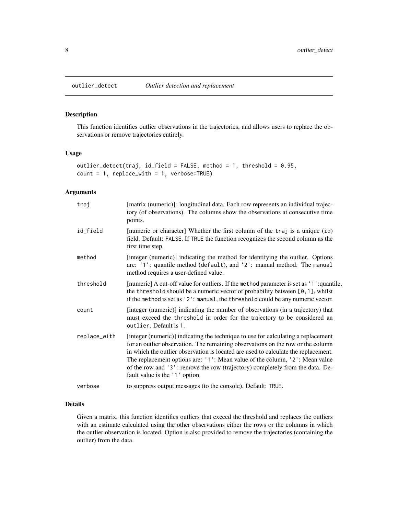<span id="page-7-0"></span>

This function identifies outlier observations in the trajectories, and allows users to replace the observations or remove trajectories entirely.

# Usage

```
outlier_detect(traj, id_field = FALSE, method = 1, threshold = 0.95,
count = 1, replace_with = 1, verbose=TRUE)
```
#### Arguments

| traj         | [matrix (numeric)]: longitudinal data. Each row represents an individual trajec-<br>tory (of observations). The columns show the observations at consecutive time<br>points.                                                                                                                                                                                                                                                                                 |
|--------------|--------------------------------------------------------------------------------------------------------------------------------------------------------------------------------------------------------------------------------------------------------------------------------------------------------------------------------------------------------------------------------------------------------------------------------------------------------------|
| id_field     | [numeric or character] Whether the first column of the traj is a unique (id)<br>field. Default: FALSE. If TRUE the function recognizes the second column as the<br>first time step.                                                                                                                                                                                                                                                                          |
| method       | [integer (numeric)] indicating the method for identifying the outlier. Options<br>are: '1': quantile method (default), and '2': manual method. The manual<br>method requires a user-defined value.                                                                                                                                                                                                                                                           |
| threshold    | [numeric] A cut-off value for outliers. If the method parameter is set as '1': quantile,<br>the threshold should be a numeric vector of probability between [0, 1], whilst<br>if the method is set as '2': manual, the threshold could be any numeric vector.                                                                                                                                                                                                |
| count        | [integer (numeric)] indicating the number of observations (in a trajectory) that<br>must exceed the threshold in order for the trajectory to be considered an<br>outlier. Default is 1.                                                                                                                                                                                                                                                                      |
| replace_with | [integer (numeric)] indicating the technique to use for calculating a replacement<br>for an outlier observation. The remaining observations on the row or the column<br>in which the outlier observation is located are used to calculate the replacement.<br>The replacement options are: '1': Mean value of the column, '2': Mean value<br>of the row and '3': remove the row (trajectory) completely from the data. De-<br>fault value is the '1' option. |
| verbose      | to suppress output messages (to the console). Default: TRUE.                                                                                                                                                                                                                                                                                                                                                                                                 |

# Details

Given a matrix, this function identifies outliers that exceed the threshold and replaces the outliers with an estimate calculated using the other observations either the rows or the columns in which the outlier observation is located. Option is also provided to remove the trajectories (containing the outlier) from the data.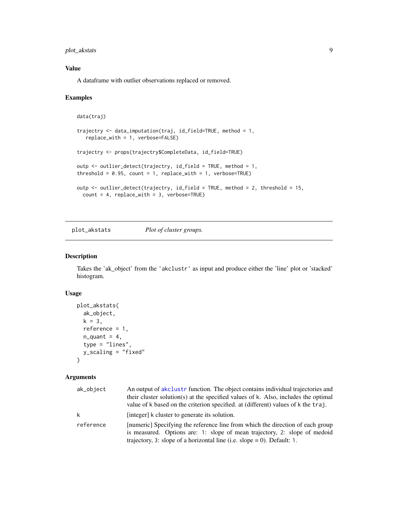<span id="page-8-0"></span>plot\_akstats 9

# Value

A dataframe with outlier observations replaced or removed.

#### Examples

```
data(traj)
trajectry <- data_imputation(traj, id_field=TRUE, method = 1,
   replace_with = 1, verbose=FALSE)
trajectry <- props(trajectry$CompleteData, id_field=TRUE)
outp <- outlier_detect(trajectry, id_field = TRUE, method = 1,
threshold = 0.95, count = 1, replace_with = 1, verbose=TRUE)
outp <- outlier_detect(trajectry, id_field = TRUE, method = 2, threshold = 15,
  count = 4, replace\_with = 3, verbose=TRUE)
```
plot\_akstats *Plot of cluster groups.*

#### Description

Takes the 'ak\_object' from the 'akclustr' as input and produce either the 'line' plot or 'stacked' histogram.

# Usage

```
plot_akstats(
  ak_object,
  k = 3,reference = 1,
  n-quant = 4,
  type = "lines",
  y_scaling = "fixed"
\mathcal{L}
```
# Arguments

| ak_object | An output of akclustr function. The object contains individual trajectories and<br>their cluster solution(s) at the specified values of k. Also, includes the optimal<br>value of k based on the criterion specified. at (different) values of k the traj. |
|-----------|------------------------------------------------------------------------------------------------------------------------------------------------------------------------------------------------------------------------------------------------------------|
| k         | [integer] k cluster to generate its solution.                                                                                                                                                                                                              |
| reference | [numeric] Specifying the reference line from which the direction of each group<br>is measured. Options are: 1: slope of mean trajectory, 2: slope of medoid<br>trajectory, 3: slope of a horizontal line (i.e. slope $= 0$ ). Default: 1.                  |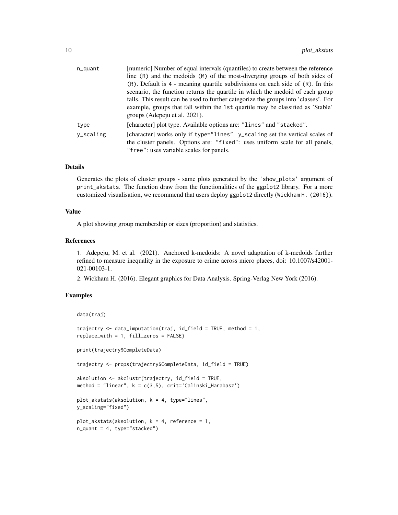| n_quant     | [numeric] Number of equal intervals (quantiles) to create between the reference                                                                                                                                                                                                                                                                                                  |
|-------------|----------------------------------------------------------------------------------------------------------------------------------------------------------------------------------------------------------------------------------------------------------------------------------------------------------------------------------------------------------------------------------|
|             | line (R) and the medoids (M) of the most-diverging groups of both sides of                                                                                                                                                                                                                                                                                                       |
|             | $(R)$ . Default is 4 - meaning quartile subdivisions on each side of $(R)$ . In this<br>scenario, the function returns the quartile in which the medoid of each group<br>falls. This result can be used to further categorize the groups into 'classes'. For<br>example, groups that fall within the 1st quartile may be classified as 'Stable'<br>groups (Adepeju et al. 2021). |
| type        | [character] plot type. Available options are: "lines" and "stacked".                                                                                                                                                                                                                                                                                                             |
| $V_Scaling$ | [character] works only if type="lines". y_scaling set the vertical scales of<br>the cluster panels. Options are: "fixed": uses uniform scale for all panels,<br>"free": uses variable scales for panels.                                                                                                                                                                         |

#### Details

Generates the plots of cluster groups - same plots generated by the 'show\_plots' argument of print\_akstats. The function draw from the functionalities of the ggplot2 library. For a more customized visualisation, we recommend that users deploy ggplot2 directly (Wickham H. (2016)).

# Value

A plot showing group membership or sizes (proportion) and statistics.

# References

1. Adepeju, M. et al. (2021). Anchored k-medoids: A novel adaptation of k-medoids further refined to measure inequality in the exposure to crime across micro places, doi: 10.1007/s42001- 021-00103-1.

2. Wickham H. (2016). Elegant graphics for Data Analysis. Spring-Verlag New York (2016).

```
data(traj)
trajectry <- data_imputation(traj, id_field = TRUE, method = 1,
replace_with = 1, fill_zeros = FALSE)
print(trajectry$CompleteData)
trajectry <- props(trajectry$CompleteData, id_field = TRUE)
aksolution <- akclustr(trajectry, id_field = TRUE,
method = "linear", k = c(3,5), crit='Calinski_Harabasz')
plot_akstats(aksolution, k = 4, type="lines",
y_scaling="fixed")
plot_akstats(aksolution, k = 4, reference = 1,
n-quant = 4, type="stacked")
```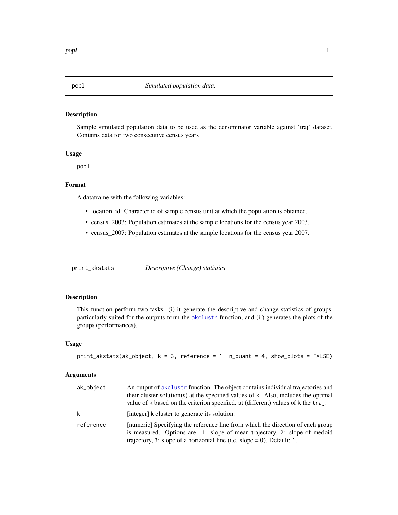<span id="page-10-0"></span>

Sample simulated population data to be used as the denominator variable against 'traj' dataset. Contains data for two consecutive census years

# Usage

popl

# Format

A dataframe with the following variables:

- location\_id: Character id of sample census unit at which the population is obtained.
- census\_2003: Population estimates at the sample locations for the census year 2003.
- census\_2007: Population estimates at the sample locations for the census year 2007.

print\_akstats *Descriptive (Change) statistics*

# Description

This function perform two tasks: (i) it generate the descriptive and change statistics of groups, particularly suited for the outputs form the [akclustr](#page-1-1) function, and (ii) generates the plots of the groups (performances).

# Usage

```
print_akstats(ak_object, k = 3, reference = 1, n_quant = 4, show_plots = FALSE)
```
# Arguments

| ak_object | An output of a k clustr function. The object contains individual trajectories and<br>their cluster solution(s) at the specified values of k. Also, includes the optimal<br>value of k based on the criterion specified. at (different) values of k the traj. |
|-----------|--------------------------------------------------------------------------------------------------------------------------------------------------------------------------------------------------------------------------------------------------------------|
| k         | [integer] k cluster to generate its solution.                                                                                                                                                                                                                |
| reference | [numeric] Specifying the reference line from which the direction of each group<br>is measured. Options are: 1: slope of mean trajectory, 2: slope of medoid<br>trajectory, 3: slope of a horizontal line (i.e. slope $= 0$ ). Default: 1.                    |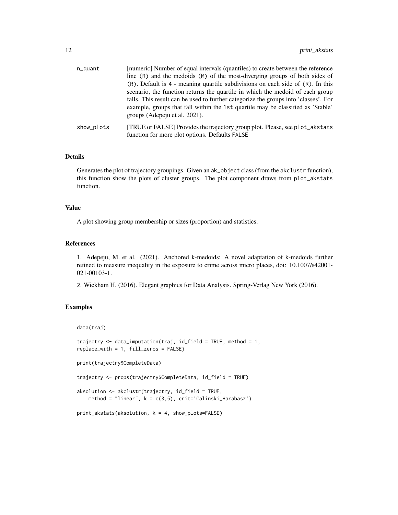| n_quant    | [numeric] Number of equal intervals (quantiles) to create between the reference<br>line (R) and the medoids (M) of the most-diverging groups of both sides of<br>$(R)$ . Default is 4 - meaning quartile subdivisions on each side of $(R)$ . In this<br>scenario, the function returns the quartile in which the medoid of each group |
|------------|----------------------------------------------------------------------------------------------------------------------------------------------------------------------------------------------------------------------------------------------------------------------------------------------------------------------------------------|
|            | falls. This result can be used to further categorize the groups into 'classes'. For<br>example, groups that fall within the 1st quartile may be classified as 'Stable'<br>groups (Adepeju et al. 2021).                                                                                                                                |
| show_plots | [TRUE or FALSE] Provides the trajectory group plot. Please, see plot_akstats<br>function for more plot options. Defaults FALSE                                                                                                                                                                                                         |

# Details

Generates the plot of trajectory groupings. Given an ak\_object class (from the akclustr function), this function show the plots of cluster groups. The plot component draws from plot\_akstats function.

# Value

A plot showing group membership or sizes (proportion) and statistics.

#### References

1. Adepeju, M. et al. (2021). Anchored k-medoids: A novel adaptation of k-medoids further refined to measure inequality in the exposure to crime across micro places, doi: 10.1007/s42001- 021-00103-1.

2. Wickham H. (2016). Elegant graphics for Data Analysis. Spring-Verlag New York (2016).

```
data(traj)
trajectry \leq data_imputation(traj, id_field = TRUE, method = 1,
replace_with = 1, fill_zeros = FALSE)
print(trajectry$CompleteData)
trajectry <- props(trajectry$CompleteData, id_field = TRUE)
aksolution <- akclustr(trajectry, id_field = TRUE,
   method = "linear", k = c(3,5), crit='Calinski_Harabasz')
print_akstats(aksolution, k = 4, show_plots=FALSE)
```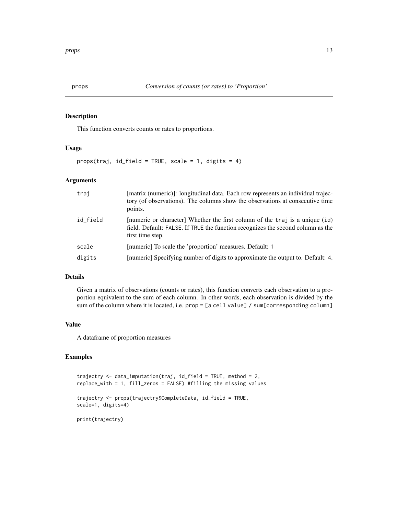<span id="page-12-0"></span>This function converts counts or rates to proportions.

#### Usage

 $props(train, id_field = TRUE, scale = 1, digits = 4)$ 

#### Arguments

| trai     | [matrix (numeric)]: longitudinal data. Each row represents an individual trajec-<br>tory (of observations). The columns show the observations at consecutive time<br>points.        |
|----------|-------------------------------------------------------------------------------------------------------------------------------------------------------------------------------------|
| id_field | [numeric or character] Whether the first column of the traj is a unique (id)<br>field. Default: FALSE. If TRUE the function recognizes the second column as the<br>first time step. |
| scale    | [numeric] To scale the 'proportion' measures. Default: 1                                                                                                                            |
| digits   | [numeric] Specifying number of digits to approximate the output to. Default: 4.                                                                                                     |

# Details

Given a matrix of observations (counts or rates), this function converts each observation to a proportion equivalent to the sum of each column. In other words, each observation is divided by the sum of the column where it is located, i.e. prop = [a cell value] / sum[corresponding column]

# Value

A dataframe of proportion measures

# Examples

```
trajectry <- data_imputation(traj, id_field = TRUE, method = 2,
replace_with = 1, fill_zeros = FALSE) #filling the missing values
```

```
trajectry <- props(trajectry$CompleteData, id_field = TRUE,
scale=1, digits=4)
```
print(trajectry)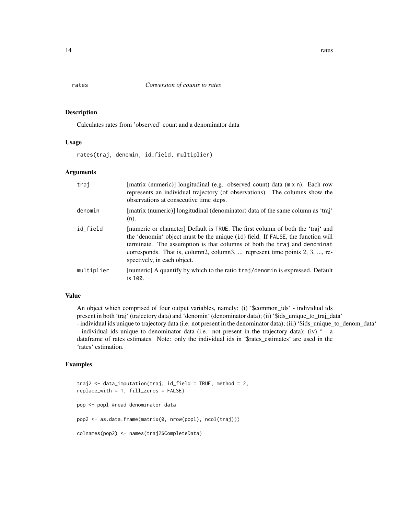<span id="page-13-0"></span>Calculates rates from 'observed' count and a denominator data

#### Usage

rates(traj, denomin, id\_field, multiplier)

# Arguments

| trai       | [matrix (numeric)] longitudinal (e.g. observed count) data (m x n). Each row<br>represents an individual trajectory (of observations). The columns show the<br>observations at consecutive time steps.                                                                                                                                                      |
|------------|-------------------------------------------------------------------------------------------------------------------------------------------------------------------------------------------------------------------------------------------------------------------------------------------------------------------------------------------------------------|
| denomin    | [matrix (numeric)] longitudinal (denominator) data of the same column as 'traj'<br>$(n)$ .                                                                                                                                                                                                                                                                  |
| id field   | [numeric or character] Default is TRUE. The first column of both the 'traj' and<br>the 'denomin' object must be the unique (id) field. If FALSE, the function will<br>terminate. The assumption is that columns of both the traj and denominat<br>corresponds. That is, column2, column3,  represent time points 2, 3, , re-<br>spectively, in each object. |
| multiplier | [numeric] A quantify by which to the ratio traj/denomin is expressed. Default<br>is 100.                                                                                                                                                                                                                                                                    |

# Value

An object which comprised of four output variables, namely: (i) '\$common\_ids' - individual ids present in both 'traj' (trajectory data) and 'denomin' (denominator data); (ii) '\$ids\_unique\_to\_traj\_data' - individual ids unique to trajectory data (i.e. not present in the denominator data); (iii) '\$ids\_unique\_to\_denom\_data' - individual ids unique to denominator data (i.e. not present in the trajectory data); (iv) " - a dataframe of rates estimates. Note: only the individual ids in '\$rates\_estimates' are used in the 'rates' estimation.

```
traj2 <- data_imputation(traj, id_field = TRUE, method = 2,
replace_with = 1, fill_zeros = FALSE)
pop <- popl #read denominator data
pop2 <- as.data.frame(matrix(0, nrow(popl), ncol(traj)))
colnames(pop2) <- names(traj2$CompleteData)
```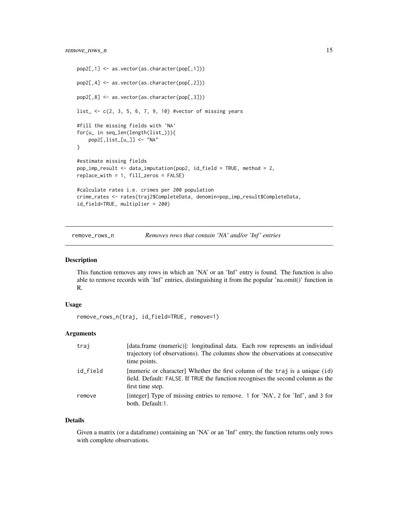# <span id="page-14-0"></span>remove\_rows\_n 15

```
pop2[,1] <- as.vector(as.character(pop[,1]))
pop2[,4] <- as.vector(as.character(pop[,2]))
pop2[,8] <- as.vector(as.character(pop[,3]))
list_ <- c(2, 3, 5, 6, 7, 9, 10) #vector of missing years
#fill the missing fields with 'NA'
for(u_ in seq_len(length(list_))){
   pop2[,list_[u_]] <- "NA"
}
#estimate missing fields
pop_imp_result <- data_imputation(pop2, id_field = TRUE, method = 2,
replace_with = 1, fill_zeros = FALSE)
#calculate rates i.e. crimes per 200 population
crime_rates <- rates(traj2$CompleteData, denomin=pop_imp_result$CompleteData,
id_field=TRUE, multiplier = 200)
```
remove\_rows\_n *Removes rows that contain 'NA' and/or 'Inf ' entries*

#### Description

This function removes any rows in which an 'NA' or an 'Inf' entry is found. The function is also able to remove records with 'Inf' entries, distinguishing it from the popular 'na.omit()' function in R.

#### Usage

remove\_rows\_n(traj, id\_field=TRUE, remove=1)

# Arguments

| trai     | [data.frame (numeric)]: longitudinal data. Each row represents an individual<br>trajectory (of observations). The columns show the observations at consecutive<br>time points.      |
|----------|-------------------------------------------------------------------------------------------------------------------------------------------------------------------------------------|
| id field | [numeric or character] Whether the first column of the traj is a unique (id)<br>field. Default: FALSE. If TRUE the function recognises the second column as the<br>first time step. |
| remove   | [integer] Type of missing entries to remove. 1 for 'NA', 2 for 'Inf', and 3 for<br>both. Default:1.                                                                                 |

#### Details

Given a matrix (or a dataframe) containing an 'NA' or an 'Inf' entry, the function returns only rows with complete observations.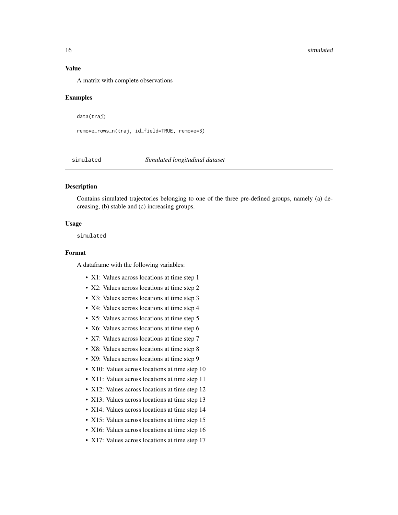#### <span id="page-15-0"></span>16 simulated the state of the state of the state of the state of the state of the state of the state of the state of the state of the state of the state of the state of the state of the state of the state of the state of t

# Value

A matrix with complete observations

#### Examples

data(traj)

remove\_rows\_n(traj, id\_field=TRUE, remove=3)

simulated *Simulated longitudinal dataset*

# Description

Contains simulated trajectories belonging to one of the three pre-defined groups, namely (a) decreasing, (b) stable and (c) increasing groups.

#### Usage

simulated

#### Format

A dataframe with the following variables:

- X1: Values across locations at time step 1
- X2: Values across locations at time step 2
- X3: Values across locations at time step 3
- X4: Values across locations at time step 4
- X5: Values across locations at time step 5
- X6: Values across locations at time step 6
- X7: Values across locations at time step 7
- X8: Values across locations at time step 8
- X9: Values across locations at time step 9
- X10: Values across locations at time step 10
- X11: Values across locations at time step 11
- X12: Values across locations at time step 12
- X13: Values across locations at time step 13
- X14: Values across locations at time step 14
- X15: Values across locations at time step 15
- X16: Values across locations at time step 16
- X17: Values across locations at time step 17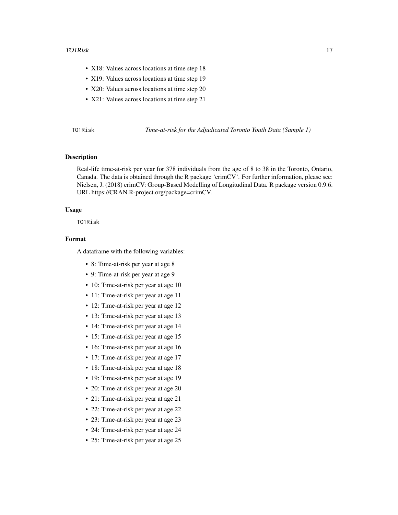- <span id="page-16-0"></span>• X18: Values across locations at time step 18
- X19: Values across locations at time step 19
- X20: Values across locations at time step 20
- X21: Values across locations at time step 21

TO1Risk *Time-at-risk for the Adjudicated Toronto Youth Data (Sample 1)*

# Description

Real-life time-at-risk per year for 378 individuals from the age of 8 to 38 in the Toronto, Ontario, Canada. The data is obtained through the R package 'crimCV'. For further information, please see: Nielsen, J. (2018) crimCV: Group-Based Modelling of Longitudinal Data. R package version 0.9.6. URL https://CRAN.R-project.org/package=crimCV.

#### Usage

TO1Risk

# Format

A dataframe with the following variables:

- 8: Time-at-risk per year at age 8
- 9: Time-at-risk per year at age 9
- 10: Time-at-risk per year at age 10
- 11: Time-at-risk per year at age 11
- 12: Time-at-risk per year at age 12
- 13: Time-at-risk per year at age 13
- 14: Time-at-risk per year at age 14
- 15: Time-at-risk per year at age 15
- 16: Time-at-risk per year at age 16
- 17: Time-at-risk per year at age 17
- 18: Time-at-risk per year at age 18
- 19: Time-at-risk per year at age 19
- 20: Time-at-risk per year at age 20
- 21: Time-at-risk per year at age 21
- 22: Time-at-risk per year at age 22
- 23: Time-at-risk per year at age 23
- 24: Time-at-risk per year at age 24
- 25: Time-at-risk per year at age 25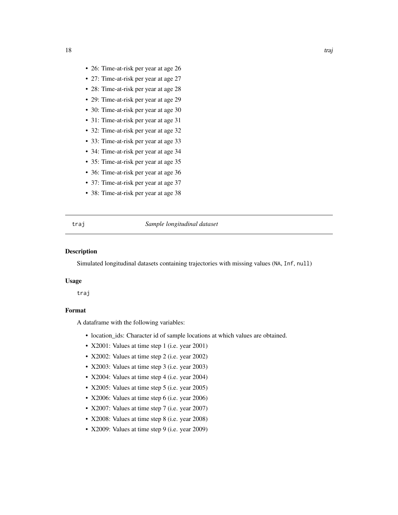- <span id="page-17-0"></span>• 26: Time-at-risk per year at age 26
- 27: Time-at-risk per year at age 27
- 28: Time-at-risk per year at age 28
- 29: Time-at-risk per year at age 29
- 30: Time-at-risk per year at age 30
- 31: Time-at-risk per year at age 31
- 32: Time-at-risk per year at age 32
- 33: Time-at-risk per year at age 33
- 34: Time-at-risk per year at age 34
- 35: Time-at-risk per year at age 35
- 36: Time-at-risk per year at age 36
- 37: Time-at-risk per year at age 37
- 38: Time-at-risk per year at age 38

#### traj *Sample longitudinal dataset*

# Description

Simulated longitudinal datasets containing trajectories with missing values (NA, Inf, null)

#### Usage

traj

# Format

A dataframe with the following variables:

- location\_ids: Character id of sample locations at which values are obtained.
- X2001: Values at time step 1 (i.e. year 2001)
- X2002: Values at time step 2 (i.e. year 2002)
- X2003: Values at time step 3 (i.e. year 2003)
- X2004: Values at time step 4 (i.e. year 2004)
- X2005: Values at time step 5 (i.e. year 2005)
- X2006: Values at time step 6 (i.e. year 2006)
- X2007: Values at time step 7 (i.e. year 2007)
- X2008: Values at time step 8 (i.e. year 2008)
- X2009: Values at time step 9 (i.e. year 2009)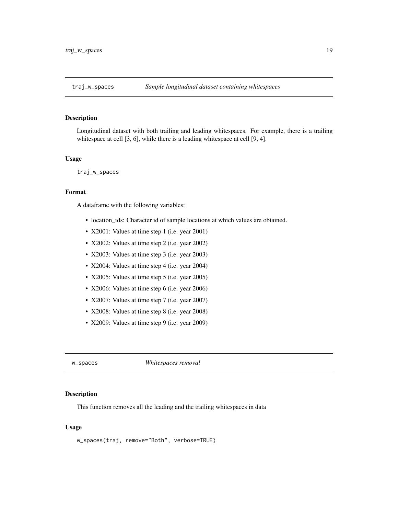<span id="page-18-0"></span>Longitudinal dataset with both trailing and leading whitespaces. For example, there is a trailing whitespace at cell [3, 6], while there is a leading whitespace at cell [9, 4].

#### Usage

traj\_w\_spaces

#### Format

A dataframe with the following variables:

- location\_ids: Character id of sample locations at which values are obtained.
- X2001: Values at time step 1 (i.e. year 2001)
- X2002: Values at time step 2 (i.e. year 2002)
- X2003: Values at time step 3 (i.e. year 2003)
- X2004: Values at time step 4 (i.e. year 2004)
- X2005: Values at time step 5 (i.e. year 2005)
- X2006: Values at time step 6 (i.e. year 2006)
- X2007: Values at time step 7 (i.e. year 2007)
- X2008: Values at time step 8 (i.e. year 2008)
- X2009: Values at time step 9 (i.e. year 2009)

w\_spaces *Whitespaces removal*

# Description

This function removes all the leading and the trailing whitespaces in data

#### Usage

w\_spaces(traj, remove="Both", verbose=TRUE)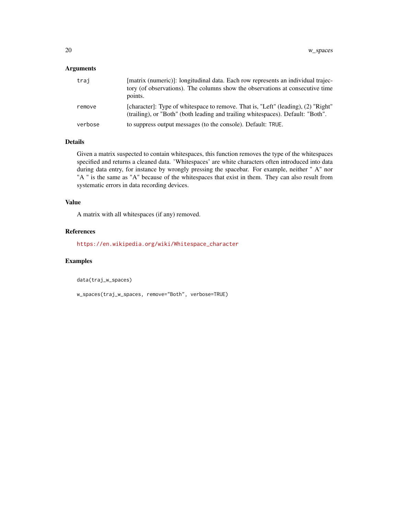# Arguments

| traj    | [matrix (numeric)]: longitudinal data. Each row represents an individual trajec-<br>tory (of observations). The columns show the observations at consecutive time<br>points. |
|---------|------------------------------------------------------------------------------------------------------------------------------------------------------------------------------|
| remove  | [character]: Type of whitespace to remove. That is, "Left" (leading), (2) "Right"<br>(trailing), or "Both" (both leading and trailing whitespaces). Default: "Both".         |
| verbose | to suppress output messages (to the console). Default: TRUE.                                                                                                                 |

# Details

Given a matrix suspected to contain whitespaces, this function removes the type of the whitespaces specified and returns a cleaned data. 'Whitespaces' are white characters often introduced into data during data entry, for instance by wrongly pressing the spacebar. For example, neither " A" nor "A " is the same as "A" because of the whitespaces that exist in them. They can also result from systematic errors in data recording devices.

### Value

A matrix with all whitespaces (if any) removed.

#### References

[https://en.wikipedia.org/wiki/Whitespace\\_character](https://en.wikipedia.org/wiki/Whitespace_character)

# Examples

data(traj\_w\_spaces)

w\_spaces(traj\_w\_spaces, remove="Both", verbose=TRUE)